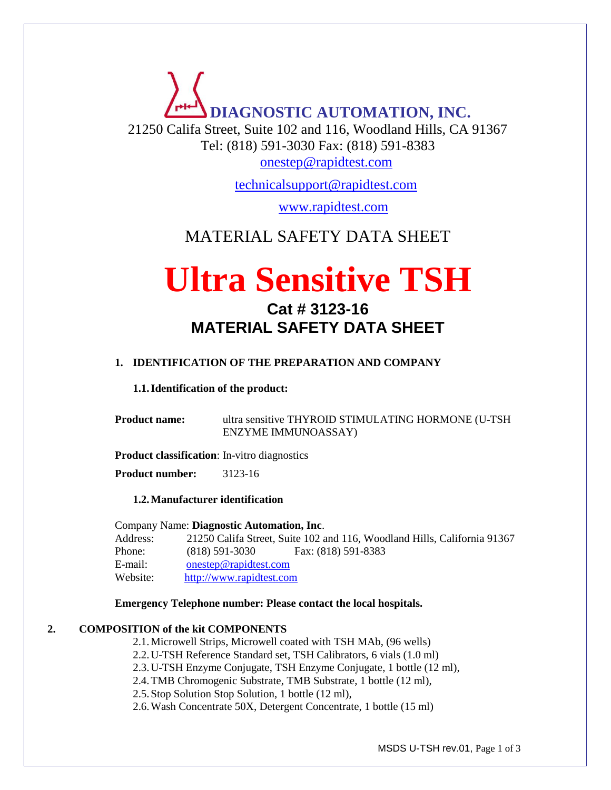# **DIAGNOSTIC AUTOMATION, INC.** 21250 Califa Street, Suite 102 and 116, Woodland Hills, CA 91367 Tel: (818) 591-3030 Fax: (818) 591-8383

[onestep@rapidtest.com](mailto:onestep@rapidtest.com)

[technicalsupport@rapidtest.com](mailto:technicalsupport@rapidtest.com)

www.rapidtest.com

### MATERIAL SAFETY DATA SHEET

## **Ultra Sensitive TSH Cat # 3123-16 MATERIAL SAFETY DATA SHEET**

#### **1. IDENTIFICATION OF THE PREPARATION AND COMPANY**

#### **1.1.Identification of the product:**

**Product name:** ultra sensitive THYROID STIMULATING HORMONE (U-TSH ENZYME IMMUNOASSAY)

**Product classification**: In-vitro diagnostics

**Product number:** 3123-16

#### **1.2.Manufacturer identification**

Company Name: **Diagnostic Automation, Inc**. Address: 21250 Califa Street, Suite 102 and 116, Woodland Hills, California 91367 Phone: (818) 591-3030 Fax: (818) 591-8383 E-mail: [onestep@rapidtest.com](mailto:onestep@rapidtest.com) Website: [http://www.rapidtest.com](http://www.rapidtest.com/)

#### **Emergency Telephone number: Please contact the local hospitals.**

#### **2. COMPOSITION of the kit COMPONENTS**

2.1.Microwell Strips, Microwell coated with TSH MAb, (96 wells)

2.2.U-TSH Reference Standard set, TSH Calibrators, 6 vials (1.0 ml)

2.3.U-TSH Enzyme Conjugate, TSH Enzyme Conjugate, 1 bottle (12 ml),

2.4.TMB Chromogenic Substrate, TMB Substrate, 1 bottle (12 ml),

2.5.Stop Solution Stop Solution, 1 bottle (12 ml),

2.6.Wash Concentrate 50X, Detergent Concentrate, 1 bottle (15 ml)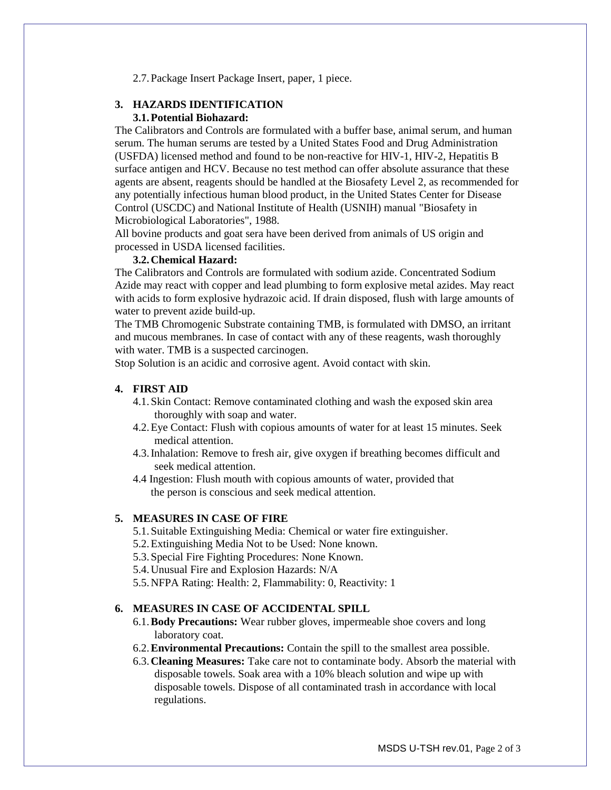2.7.Package Insert Package Insert, paper, 1 piece.

#### **3. HAZARDS IDENTIFICATION 3.1.Potential Biohazard:**

The Calibrators and Controls are formulated with a buffer base, animal serum, and human serum. The human serums are tested by a United States Food and Drug Administration (USFDA) licensed method and found to be non-reactive for HIV-1, HIV-2, Hepatitis B surface antigen and HCV. Because no test method can offer absolute assurance that these agents are absent, reagents should be handled at the Biosafety Level 2, as recommended for any potentially infectious human blood product, in the United States Center for Disease Control (USCDC) and National Institute of Health (USNIH) manual "Biosafety in Microbiological Laboratories", 1988.

All bovine products and goat sera have been derived from animals of US origin and processed in USDA licensed facilities.

#### **3.2.Chemical Hazard:**

The Calibrators and Controls are formulated with sodium azide. Concentrated Sodium Azide may react with copper and lead plumbing to form explosive metal azides. May react with acids to form explosive hydrazoic acid. If drain disposed, flush with large amounts of water to prevent azide build-up.

The TMB Chromogenic Substrate containing TMB, is formulated with DMSO, an irritant and mucous membranes. In case of contact with any of these reagents, wash thoroughly with water. TMB is a suspected carcinogen.

Stop Solution is an acidic and corrosive agent. Avoid contact with skin.

#### **4. FIRST AID**

- 4.1.Skin Contact: Remove contaminated clothing and wash the exposed skin area thoroughly with soap and water.
- 4.2.Eye Contact: Flush with copious amounts of water for at least 15 minutes. Seek medical attention.
- 4.3.Inhalation: Remove to fresh air, give oxygen if breathing becomes difficult and seek medical attention.
- 4.4 Ingestion: Flush mouth with copious amounts of water, provided that the person is conscious and seek medical attention.

#### **5. MEASURES IN CASE OF FIRE**

- 5.1.Suitable Extinguishing Media: Chemical or water fire extinguisher.
- 5.2.Extinguishing Media Not to be Used: None known.
- 5.3.Special Fire Fighting Procedures: None Known.
- 5.4.Unusual Fire and Explosion Hazards: N/A
- 5.5.NFPA Rating: Health: 2, Flammability: 0, Reactivity: 1

#### **6. MEASURES IN CASE OF ACCIDENTAL SPILL**

- 6.1.**Body Precautions:** Wear rubber gloves, impermeable shoe covers and long laboratory coat.
- 6.2.**Environmental Precautions:** Contain the spill to the smallest area possible.
- 6.3.**Cleaning Measures:** Take care not to contaminate body. Absorb the material with disposable towels. Soak area with a 10% bleach solution and wipe up with disposable towels. Dispose of all contaminated trash in accordance with local regulations.